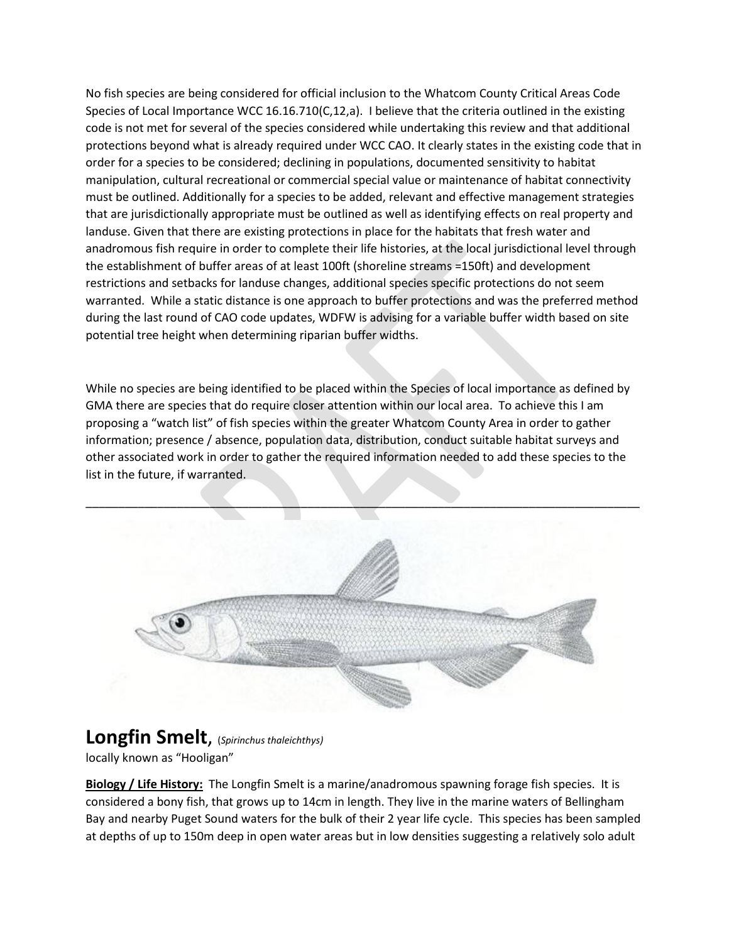No fish species are being considered for official inclusion to the Whatcom County Critical Areas Code Species of Local Importance WCC 16.16.710(C,12,a). I believe that the criteria outlined in the existing code is not met for several of the species considered while undertaking this review and that additional protections beyond what is already required under WCC CAO. It clearly states in the existing code that in order for a species to be considered; declining in populations, documented sensitivity to habitat manipulation, cultural recreational or commercial special value or maintenance of habitat connectivity must be outlined. Additionally for a species to be added, relevant and effective management strategies that are jurisdictionally appropriate must be outlined as well as identifying effects on real property and landuse. Given that there are existing protections in place for the habitats that fresh water and anadromous fish require in order to complete their life histories, at the local jurisdictional level through the establishment of buffer areas of at least 100ft (shoreline streams =150ft) and development restrictions and setbacks for landuse changes, additional species specific protections do not seem warranted. While a static distance is one approach to buffer protections and was the preferred method during the last round of CAO code updates, WDFW is advising for a variable buffer width based on site potential tree height when determining riparian buffer widths.

While no species are being identified to be placed within the Species of local importance as defined by GMA there are species that do require closer attention within our local area. To achieve this I am proposing a "watch list" of fish species within the greater Whatcom County Area in order to gather information; presence / absence, population data, distribution, conduct suitable habitat surveys and other associated work in order to gather the required information needed to add these species to the list in the future, if warranted.



## **Longfin Smelt**, (*Spirinchus thaleichthys)*

locally known as "Hooligan"

**Biology / Life History:** The Longfin Smelt is a marine/anadromous spawning forage fish species. It is considered a bony fish, that grows up to 14cm in length. They live in the marine waters of Bellingham Bay and nearby Puget Sound waters for the bulk of their 2 year life cycle. This species has been sampled at depths of up to 150m deep in open water areas but in low densities suggesting a relatively solo adult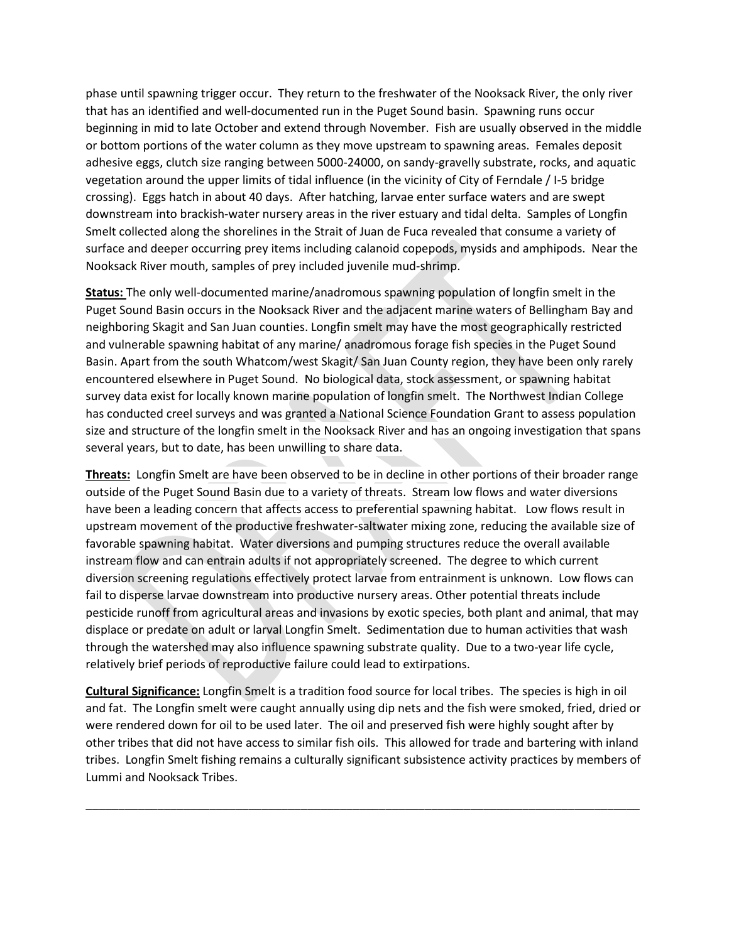phase until spawning trigger occur. They return to the freshwater of the Nooksack River, the only river that has an identified and well-documented run in the Puget Sound basin. Spawning runs occur beginning in mid to late October and extend through November. Fish are usually observed in the middle or bottom portions of the water column as they move upstream to spawning areas. Females deposit adhesive eggs, clutch size ranging between 5000-24000, on sandy-gravelly substrate, rocks, and aquatic vegetation around the upper limits of tidal influence (in the vicinity of City of Ferndale / I-5 bridge crossing). Eggs hatch in about 40 days. After hatching, larvae enter surface waters and are swept downstream into brackish-water nursery areas in the river estuary and tidal delta. Samples of Longfin Smelt collected along the shorelines in the Strait of Juan de Fuca revealed that consume a variety of surface and deeper occurring prey items including calanoid copepods, mysids and amphipods. Near the Nooksack River mouth, samples of prey included juvenile mud-shrimp.

**Status:** The only well-documented marine/anadromous spawning population of longfin smelt in the Puget Sound Basin occurs in the Nooksack River and the adjacent marine waters of Bellingham Bay and neighboring Skagit and San Juan counties. Longfin smelt may have the most geographically restricted and vulnerable spawning habitat of any marine/ anadromous forage fish species in the Puget Sound Basin. Apart from the south Whatcom/west Skagit/ San Juan County region, they have been only rarely encountered elsewhere in Puget Sound. No biological data, stock assessment, or spawning habitat survey data exist for locally known marine population of longfin smelt. The Northwest Indian College has conducted creel surveys and was granted a National Science Foundation Grant to assess population size and structure of the longfin smelt in the Nooksack River and has an ongoing investigation that spans several years, but to date, has been unwilling to share data.

**Threats:** Longfin Smelt are have been observed to be in decline in other portions of their broader range outside of the Puget Sound Basin due to a variety of threats. Stream low flows and water diversions have been a leading concern that affects access to preferential spawning habitat. Low flows result in upstream movement of the productive freshwater-saltwater mixing zone, reducing the available size of favorable spawning habitat. Water diversions and pumping structures reduce the overall available instream flow and can entrain adults if not appropriately screened. The degree to which current diversion screening regulations effectively protect larvae from entrainment is unknown. Low flows can fail to disperse larvae downstream into productive nursery areas. Other potential threats include pesticide runoff from agricultural areas and invasions by exotic species, both plant and animal, that may displace or predate on adult or larval Longfin Smelt. Sedimentation due to human activities that wash through the watershed may also influence spawning substrate quality. Due to a two-year life cycle, relatively brief periods of reproductive failure could lead to extirpations.

**Cultural Significance:** Longfin Smelt is a tradition food source for local tribes. The species is high in oil and fat. The Longfin smelt were caught annually using dip nets and the fish were smoked, fried, dried or were rendered down for oil to be used later. The oil and preserved fish were highly sought after by other tribes that did not have access to similar fish oils. This allowed for trade and bartering with inland tribes. Longfin Smelt fishing remains a culturally significant subsistence activity practices by members of Lummi and Nooksack Tribes.

\_\_\_\_\_\_\_\_\_\_\_\_\_\_\_\_\_\_\_\_\_\_\_\_\_\_\_\_\_\_\_\_\_\_\_\_\_\_\_\_\_\_\_\_\_\_\_\_\_\_\_\_\_\_\_\_\_\_\_\_\_\_\_\_\_\_\_\_\_\_\_\_\_\_\_\_\_\_\_\_\_\_\_\_\_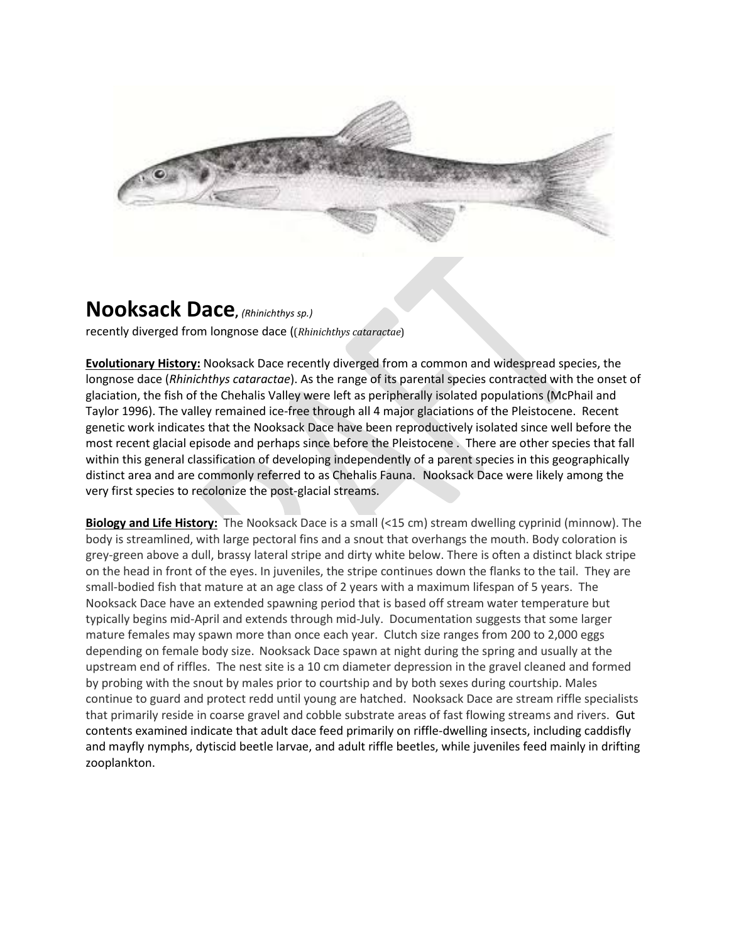

## **Nooksack Dace,** *(Rhinichthys sp.)*

recently diverged from longnose dace ((*Rhinichthys cataractae*)

**Evolutionary History:** Nooksack Dace recently diverged from a common and widespread species, the longnose dace (*Rhinichthys cataractae*). As the range of its parental species contracted with the onset of glaciation, the fish of the Chehalis Valley were left as peripherally isolated populations (McPhail and Taylor 1996). The valley remained ice-free through all 4 major glaciations of the Pleistocene. Recent genetic work indicates that the Nooksack Dace have been reproductively isolated since well before the most recent glacial episode and perhaps since before the Pleistocene . There are other species that fall within this general classification of developing independently of a parent species in this geographically distinct area and are commonly referred to as Chehalis Fauna. Nooksack Dace were likely among the very first species to recolonize the post-glacial streams.

**Biology and Life History:** The Nooksack Dace is a small (<15 cm) stream dwelling cyprinid (minnow). The body is streamlined, with large pectoral fins and a snout that overhangs the mouth. Body coloration is grey-green above a dull, brassy lateral stripe and dirty white below. There is often a distinct black stripe on the head in front of the eyes. In juveniles, the stripe continues down the flanks to the tail. They are small-bodied fish that mature at an age class of 2 years with a maximum lifespan of 5 years. The Nooksack Dace have an extended spawning period that is based off stream water temperature but typically begins mid-April and extends through mid-July. Documentation suggests that some larger mature females may spawn more than once each year. Clutch size ranges from 200 to 2,000 eggs depending on female body size. Nooksack Dace spawn at night during the spring and usually at the upstream end of riffles. The nest site is a 10 cm diameter depression in the gravel cleaned and formed by probing with the snout by males prior to courtship and by both sexes during courtship. Males continue to guard and protect redd until young are hatched. Nooksack Dace are stream riffle specialists that primarily reside in coarse gravel and cobble substrate areas of fast flowing streams and rivers. Gut contents examined indicate that adult dace feed primarily on riffle-dwelling insects, including caddisfly and mayfly nymphs, dytiscid beetle larvae, and adult riffle beetles, while juveniles feed mainly in drifting zooplankton.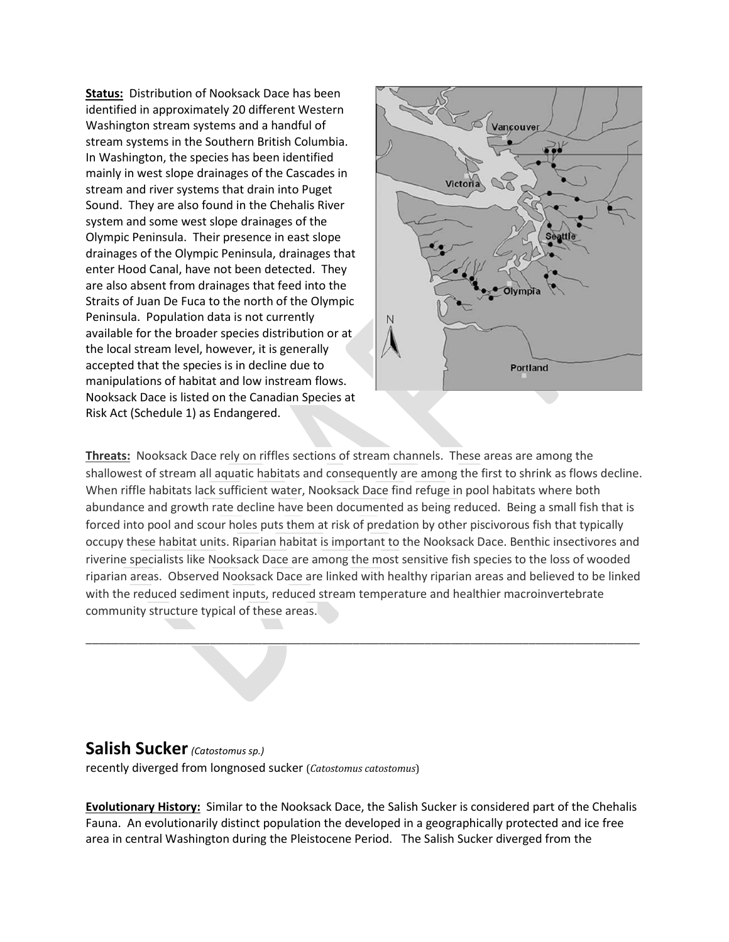**Status:** Distribution of Nooksack Dace has been identified in approximately 20 different Western Washington stream systems and a handful of stream systems in the Southern British Columbia. In Washington, the species has been identified mainly in west slope drainages of the Cascades in stream and river systems that drain into Puget Sound. They are also found in the Chehalis River system and some west slope drainages of the Olympic Peninsula. Their presence in east slope drainages of the Olympic Peninsula, drainages that enter Hood Canal, have not been detected. They are also absent from drainages that feed into the Straits of Juan De Fuca to the north of the Olympic Peninsula. Population data is not currently available for the broader species distribution or at the local stream level, however, it is generally accepted that the species is in decline due to manipulations of habitat and low instream flows. Nooksack Dace is listed on the Canadian Species at Risk Act (Schedule 1) as Endangered.



**Threats:** Nooksack Dace rely on riffles sections of stream channels. These areas are among the shallowest of stream all aquatic habitats and consequently are among the first to shrink as flows decline. When riffle habitats lack sufficient water, Nooksack Dace find refuge in pool habitats where both abundance and growth rate decline have been documented as being reduced. Being a small fish that is forced into pool and scour holes puts them at risk of predation by other piscivorous fish that typically occupy these habitat units. Riparian habitat is important to the Nooksack Dace. Benthic insectivores and riverine specialists like Nooksack Dace are among the most sensitive fish species to the loss of wooded riparian areas. Observed Nooksack Dace are linked with healthy riparian areas and believed to be linked with the reduced sediment inputs, reduced stream temperature and healthier macroinvertebrate community structure typical of these areas.

\_\_\_\_\_\_\_\_\_\_\_\_\_\_\_\_\_\_\_\_\_\_\_\_\_\_\_\_\_\_\_\_\_\_\_\_\_\_\_\_\_\_\_\_\_\_\_\_\_\_\_\_\_\_\_\_\_\_\_\_\_\_\_\_\_\_\_\_\_\_\_\_\_\_\_\_\_\_\_\_\_\_\_\_\_

## **Salish Sucker***(Catostomus sp.)*

recently diverged from longnosed sucker (*Catostomus catostomus*)

**Evolutionary History:** Similar to the Nooksack Dace, the Salish Sucker is considered part of the Chehalis Fauna. An evolutionarily distinct population the developed in a geographically protected and ice free area in central Washington during the Pleistocene Period. The Salish Sucker diverged from the